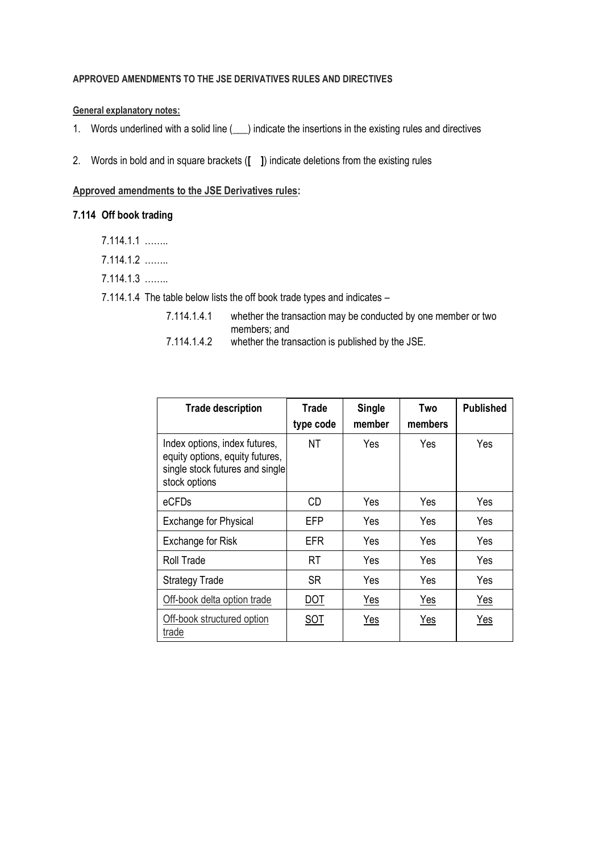## **APPROVED AMENDMENTS TO THE JSE DERIVATIVES RULES AND DIRECTIVES**

### **General explanatory notes:**

- 1. Words underlined with a solid line (
ightarrow indicate the insertions in the existing rules and directives
- 2. Words in bold and in square brackets (**[ ]**) indicate deletions from the existing rules

#### **Approved amendments to the JSE Derivatives rules:**

- **7.114 Off book trading**
	- 7.114.1.1 ……..
	- 7.114.1.2 ……..
	- 7.114.1.3 ……..

7.114.1.4 The table below lists the off book trade types and indicates –

- 7.114.1.4.1 whether the transaction may be conducted by one member or two members; and
- 7.114.1.4.2 whether the transaction is published by the JSE.

| <b>Trade description</b>                                                                                             | Trade<br>type code | <b>Single</b><br>member | Two<br>members | <b>Published</b> |
|----------------------------------------------------------------------------------------------------------------------|--------------------|-------------------------|----------------|------------------|
| Index options, index futures,<br>equity options, equity futures,<br>single stock futures and single<br>stock options | ΝT                 | Yes                     | Yes            | Yes              |
| eCFDs                                                                                                                | CD                 | Yes                     | Yes            | Yes              |
| <b>Exchange for Physical</b>                                                                                         | EFP                | Yes                     | Yes            | Yes              |
| Exchange for Risk                                                                                                    | EFR                | Yes                     | Yes            | Yes              |
| Roll Trade                                                                                                           | RT                 | Yes                     | Yes            | Yes              |
| <b>Strategy Trade</b>                                                                                                | SR                 | Yes                     | Yes            | Yes              |
| Off-book delta option trade                                                                                          | <u>DOT</u>         | <u>Yes</u>              | <u>Yes</u>     | <u>Yes</u>       |
| Off-book structured option<br>trade                                                                                  | SOT                | Yes                     | Yes            | Yes              |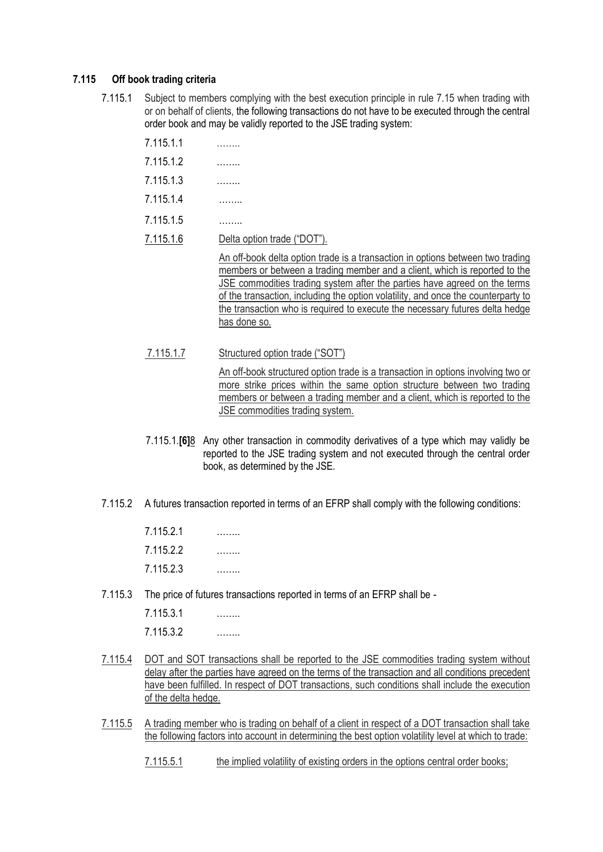#### **7.115 Off book trading criteria**

- 7.115.1 Subject to members complying with the best execution principle in rule 7.15 when trading with or on behalf of clients, the following transactions do not have to be executed through the central order book and may be validly reported to the JSE trading system:
	- 7.115.1.1 ……..
	- 7.115.1.2 ……..
	- 7.115.1.3 ……..
	- 7.115.1.4 ……..
	- 7.115.1.5 ……..
	- 7.115.1.6 Delta option trade ("DOT").

An off-book delta option trade is a transaction in options between two trading members or between a trading member and a client, which is reported to the JSE commodities trading system after the parties have agreed on the terms of the transaction, including the option volatility, and once the counterparty to the transaction who is required to execute the necessary futures delta hedge has done so.

7.115.1.7 Structured option trade ("SOT")

An off-book structured option trade is a transaction in options involving two or more strike prices within the same option structure between two trading members or between a trading member and a client, which is reported to the JSE commodities trading system.

- 7.115.1.**[6]**8 Any other transaction in commodity derivatives of a type which may validly be reported to the JSE trading system and not executed through the central order book, as determined by the JSE.
- 7.115.2 A futures transaction reported in terms of an EFRP shall comply with the following conditions:

| 7.115.2.1 | . |
|-----------|---|
| 7.115.2.2 |   |
| 7.115.2.3 |   |

7.115.3 The price of futures transactions reported in terms of an EFRP shall be -

7.115.3.1 …….. 7.115.3.2 ……..

- 7.115.4 DOT and SOT transactions shall be reported to the JSE commodities trading system without delay after the parties have agreed on the terms of the transaction and all conditions precedent have been fulfilled. In respect of DOT transactions, such conditions shall include the execution of the delta hedge.
- 7.115.5 A trading member who is trading on behalf of a client in respect of a DOT transaction shall take the following factors into account in determining the best option volatility level at which to trade:
	- 7.115.5.1 the implied volatility of existing orders in the options central order books;